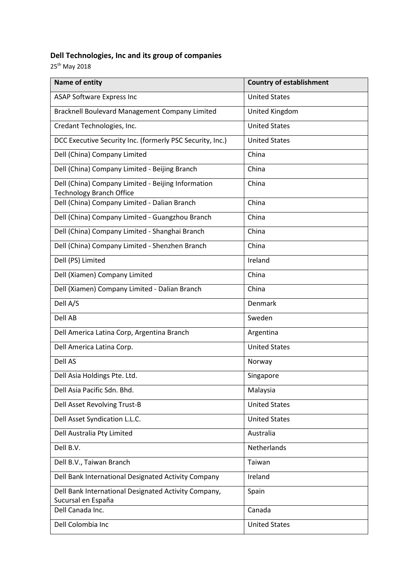## **Dell Technologies, Inc and its group of companies**

25<sup>th</sup> May 2018

| Name of entity                                                                        | <b>Country of establishment</b> |
|---------------------------------------------------------------------------------------|---------------------------------|
| <b>ASAP Software Express Inc</b>                                                      | <b>United States</b>            |
| Bracknell Boulevard Management Company Limited                                        | United Kingdom                  |
| Credant Technologies, Inc.                                                            | <b>United States</b>            |
| DCC Executive Security Inc. (formerly PSC Security, Inc.)                             | <b>United States</b>            |
| Dell (China) Company Limited                                                          | China                           |
| Dell (China) Company Limited - Beijing Branch                                         | China                           |
| Dell (China) Company Limited - Beijing Information<br><b>Technology Branch Office</b> | China                           |
| Dell (China) Company Limited - Dalian Branch                                          | China                           |
| Dell (China) Company Limited - Guangzhou Branch                                       | China                           |
| Dell (China) Company Limited - Shanghai Branch                                        | China                           |
| Dell (China) Company Limited - Shenzhen Branch                                        | China                           |
| Dell (PS) Limited                                                                     | Ireland                         |
| Dell (Xiamen) Company Limited                                                         | China                           |
| Dell (Xiamen) Company Limited - Dalian Branch                                         | China                           |
| Dell A/S                                                                              | Denmark                         |
| Dell AB                                                                               | Sweden                          |
| Dell America Latina Corp, Argentina Branch                                            | Argentina                       |
| Dell America Latina Corp.                                                             | <b>United States</b>            |
| Dell AS                                                                               | Norway                          |
| Dell Asia Holdings Pte. Ltd.                                                          | Singapore                       |
| Dell Asia Pacific Sdn. Bhd.                                                           | Malaysia                        |
| Dell Asset Revolving Trust-B                                                          | <b>United States</b>            |
| Dell Asset Syndication L.L.C.                                                         | <b>United States</b>            |
| Dell Australia Pty Limited                                                            | Australia                       |
| Dell B.V.                                                                             | Netherlands                     |
| Dell B.V., Taiwan Branch                                                              | Taiwan                          |
| Dell Bank International Designated Activity Company                                   | Ireland                         |
| Dell Bank International Designated Activity Company,                                  | Spain                           |
| Sucursal en España<br>Dell Canada Inc.                                                | Canada                          |
| Dell Colombia Inc                                                                     | <b>United States</b>            |
|                                                                                       |                                 |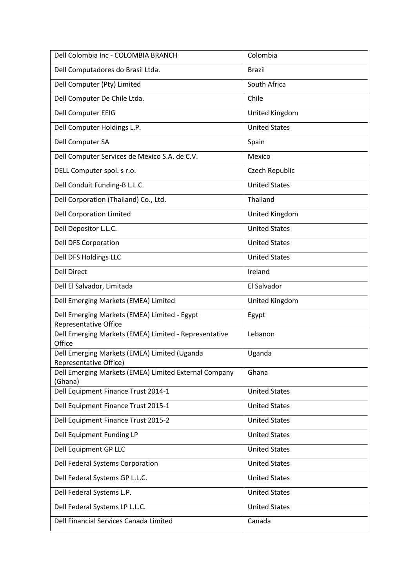| Dell Colombia Inc - COLOMBIA BRANCH                                    | Colombia             |
|------------------------------------------------------------------------|----------------------|
| Dell Computadores do Brasil Ltda.                                      | <b>Brazil</b>        |
| Dell Computer (Pty) Limited                                            | South Africa         |
| Dell Computer De Chile Ltda.                                           | Chile                |
| Dell Computer EEIG                                                     | United Kingdom       |
| Dell Computer Holdings L.P.                                            | <b>United States</b> |
| Dell Computer SA                                                       | Spain                |
| Dell Computer Services de Mexico S.A. de C.V.                          | Mexico               |
| DELL Computer spol. s r.o.                                             | Czech Republic       |
| Dell Conduit Funding-B L.L.C.                                          | <b>United States</b> |
| Dell Corporation (Thailand) Co., Ltd.                                  | Thailand             |
| <b>Dell Corporation Limited</b>                                        | United Kingdom       |
| Dell Depositor L.L.C.                                                  | <b>United States</b> |
| <b>Dell DFS Corporation</b>                                            | <b>United States</b> |
| Dell DFS Holdings LLC                                                  | <b>United States</b> |
| <b>Dell Direct</b>                                                     | Ireland              |
| Dell El Salvador, Limitada                                             | El Salvador          |
| Dell Emerging Markets (EMEA) Limited                                   | United Kingdom       |
| Dell Emerging Markets (EMEA) Limited - Egypt<br>Representative Office  | Egypt                |
| Dell Emerging Markets (EMEA) Limited - Representative<br>Office        | Lebanon              |
| Dell Emerging Markets (EMEA) Limited (Uganda<br>Representative Office) | Uganda               |
| Dell Emerging Markets (EMEA) Limited External Company<br>(Ghana)       | Ghana                |
| Dell Equipment Finance Trust 2014-1                                    | <b>United States</b> |
| Dell Equipment Finance Trust 2015-1                                    | <b>United States</b> |
| Dell Equipment Finance Trust 2015-2                                    | <b>United States</b> |
| Dell Equipment Funding LP                                              | <b>United States</b> |
| Dell Equipment GP LLC                                                  | <b>United States</b> |
| Dell Federal Systems Corporation                                       | <b>United States</b> |
| Dell Federal Systems GP L.L.C.                                         | <b>United States</b> |
| Dell Federal Systems L.P.                                              | <b>United States</b> |
| Dell Federal Systems LP L.L.C.                                         | <b>United States</b> |
| Dell Financial Services Canada Limited                                 | Canada               |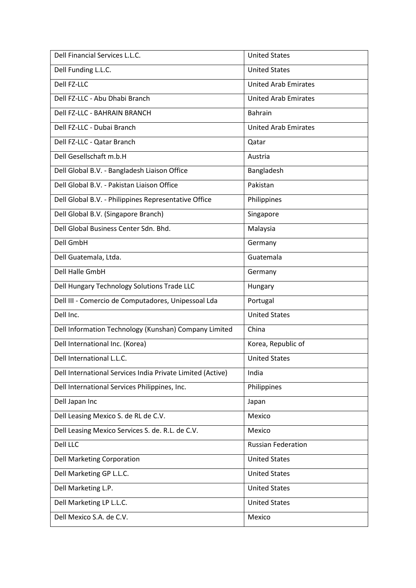| Dell Financial Services L.L.C.                             | <b>United States</b>        |
|------------------------------------------------------------|-----------------------------|
| Dell Funding L.L.C.                                        | <b>United States</b>        |
| Dell FZ-LLC                                                | <b>United Arab Emirates</b> |
| Dell FZ-LLC - Abu Dhabi Branch                             | <b>United Arab Emirates</b> |
| <b>Dell FZ-LLC - BAHRAIN BRANCH</b>                        | <b>Bahrain</b>              |
| Dell FZ-LLC - Dubai Branch                                 | <b>United Arab Emirates</b> |
| Dell FZ-LLC - Qatar Branch                                 | Qatar                       |
| Dell Gesellschaft m.b.H                                    | Austria                     |
| Dell Global B.V. - Bangladesh Liaison Office               | Bangladesh                  |
| Dell Global B.V. - Pakistan Liaison Office                 | Pakistan                    |
| Dell Global B.V. - Philippines Representative Office       | Philippines                 |
| Dell Global B.V. (Singapore Branch)                        | Singapore                   |
| Dell Global Business Center Sdn. Bhd.                      | Malaysia                    |
| Dell GmbH                                                  | Germany                     |
| Dell Guatemala, Ltda.                                      | Guatemala                   |
| <b>Dell Halle GmbH</b>                                     | Germany                     |
| Dell Hungary Technology Solutions Trade LLC                | Hungary                     |
| Dell III - Comercio de Computadores, Unipessoal Lda        | Portugal                    |
| Dell Inc.                                                  | <b>United States</b>        |
| Dell Information Technology (Kunshan) Company Limited      | China                       |
| Dell International Inc. (Korea)                            | Korea, Republic of          |
| Dell International L.L.C.                                  | <b>United States</b>        |
| Dell International Services India Private Limited (Active) | India                       |
| Dell International Services Philippines, Inc.              | Philippines                 |
| Dell Japan Inc                                             | Japan                       |
| Dell Leasing Mexico S. de RL de C.V.                       | Mexico                      |
| Dell Leasing Mexico Services S. de. R.L. de C.V.           | Mexico                      |
| Dell LLC                                                   | <b>Russian Federation</b>   |
| <b>Dell Marketing Corporation</b>                          | <b>United States</b>        |
| Dell Marketing GP L.L.C.                                   | <b>United States</b>        |
| Dell Marketing L.P.                                        | <b>United States</b>        |
| Dell Marketing LP L.L.C.                                   | <b>United States</b>        |
| Dell Mexico S.A. de C.V.                                   | Mexico                      |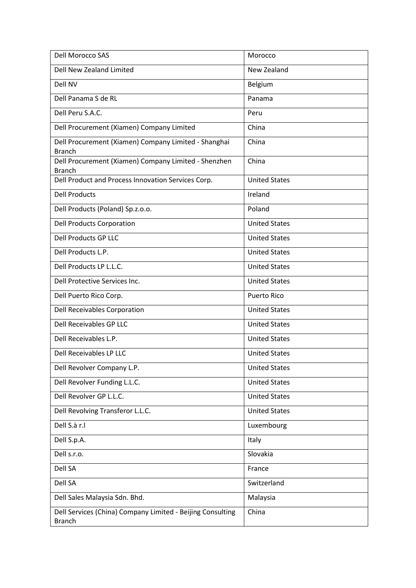| <b>Dell Morocco SAS</b>                                                     | Morocco              |
|-----------------------------------------------------------------------------|----------------------|
| Dell New Zealand Limited                                                    | New Zealand          |
| Dell NV                                                                     | Belgium              |
| Dell Panama S de RL                                                         | Panama               |
| Dell Peru S.A.C.                                                            | Peru                 |
| Dell Procurement (Xiamen) Company Limited                                   | China                |
| Dell Procurement (Xiamen) Company Limited - Shanghai<br><b>Branch</b>       | China                |
| Dell Procurement (Xiamen) Company Limited - Shenzhen<br><b>Branch</b>       | China                |
| Dell Product and Process Innovation Services Corp.                          | <b>United States</b> |
| <b>Dell Products</b>                                                        | Ireland              |
| Dell Products (Poland) Sp.z.o.o.                                            | Poland               |
| <b>Dell Products Corporation</b>                                            | <b>United States</b> |
| <b>Dell Products GP LLC</b>                                                 | <b>United States</b> |
| Dell Products L.P.                                                          | <b>United States</b> |
| Dell Products LP L.L.C.                                                     | <b>United States</b> |
| Dell Protective Services Inc.                                               | <b>United States</b> |
| Dell Puerto Rico Corp.                                                      | <b>Puerto Rico</b>   |
| Dell Receivables Corporation                                                | <b>United States</b> |
| Dell Receivables GP LLC                                                     | <b>United States</b> |
| Dell Receivables L.P.                                                       | <b>United States</b> |
| Dell Receivables LP LLC                                                     | <b>United States</b> |
| Dell Revolver Company L.P.                                                  | <b>United States</b> |
| Dell Revolver Funding L.L.C.                                                | <b>United States</b> |
| Dell Revolver GP L.L.C.                                                     | <b>United States</b> |
| Dell Revolving Transferor L.L.C.                                            | <b>United States</b> |
| Dell S.à r.l                                                                | Luxembourg           |
| Dell S.p.A.                                                                 | Italy                |
| Dell s.r.o.                                                                 | Slovakia             |
| Dell SA                                                                     | France               |
| Dell SA                                                                     | Switzerland          |
| Dell Sales Malaysia Sdn. Bhd.                                               | Malaysia             |
| Dell Services (China) Company Limited - Beijing Consulting<br><b>Branch</b> | China                |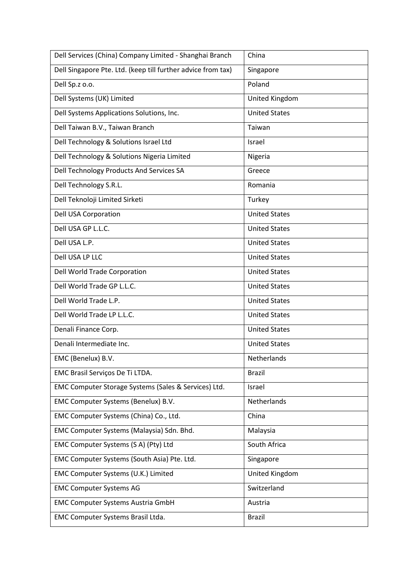| Dell Services (China) Company Limited - Shanghai Branch      | China                |
|--------------------------------------------------------------|----------------------|
| Dell Singapore Pte. Ltd. (keep till further advice from tax) | Singapore            |
| Dell Sp.z o.o.                                               | Poland               |
| Dell Systems (UK) Limited                                    | United Kingdom       |
| Dell Systems Applications Solutions, Inc.                    | <b>United States</b> |
| Dell Taiwan B.V., Taiwan Branch                              | Taiwan               |
| Dell Technology & Solutions Israel Ltd                       | Israel               |
| Dell Technology & Solutions Nigeria Limited                  | Nigeria              |
| Dell Technology Products And Services SA                     | Greece               |
| Dell Technology S.R.L.                                       | Romania              |
| Dell Teknoloji Limited Sirketi                               | Turkey               |
| <b>Dell USA Corporation</b>                                  | <b>United States</b> |
| Dell USA GP L.L.C.                                           | <b>United States</b> |
| Dell USA L.P.                                                | <b>United States</b> |
| Dell USA LP LLC                                              | <b>United States</b> |
| Dell World Trade Corporation                                 | <b>United States</b> |
| Dell World Trade GP L.L.C.                                   | <b>United States</b> |
| Dell World Trade L.P.                                        | <b>United States</b> |
| Dell World Trade LP L.L.C.                                   | <b>United States</b> |
| Denali Finance Corp.                                         | <b>United States</b> |
| Denali Intermediate Inc.                                     | <b>United States</b> |
| EMC (Benelux) B.V.                                           | Netherlands          |
| EMC Brasil Serviços De Ti LTDA.                              | <b>Brazil</b>        |
| EMC Computer Storage Systems (Sales & Services) Ltd.         | Israel               |
| EMC Computer Systems (Benelux) B.V.                          | Netherlands          |
| EMC Computer Systems (China) Co., Ltd.                       | China                |
| EMC Computer Systems (Malaysia) Sdn. Bhd.                    | Malaysia             |
| EMC Computer Systems (S A) (Pty) Ltd                         | South Africa         |
| EMC Computer Systems (South Asia) Pte. Ltd.                  | Singapore            |
| EMC Computer Systems (U.K.) Limited                          | United Kingdom       |
| <b>EMC Computer Systems AG</b>                               | Switzerland          |
| <b>EMC Computer Systems Austria GmbH</b>                     | Austria              |
| EMC Computer Systems Brasil Ltda.                            | <b>Brazil</b>        |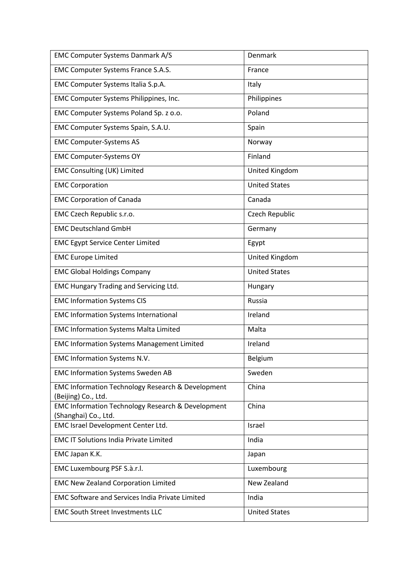| EMC Computer Systems Danmark A/S                                                     | Denmark              |
|--------------------------------------------------------------------------------------|----------------------|
| EMC Computer Systems France S.A.S.                                                   | France               |
| EMC Computer Systems Italia S.p.A.                                                   | Italy                |
| EMC Computer Systems Philippines, Inc.                                               | Philippines          |
| EMC Computer Systems Poland Sp. z o.o.                                               | Poland               |
| EMC Computer Systems Spain, S.A.U.                                                   | Spain                |
| <b>EMC Computer-Systems AS</b>                                                       | Norway               |
| <b>EMC Computer-Systems OY</b>                                                       | Finland              |
| <b>EMC Consulting (UK) Limited</b>                                                   | United Kingdom       |
| <b>EMC Corporation</b>                                                               | <b>United States</b> |
| <b>EMC Corporation of Canada</b>                                                     | Canada               |
| EMC Czech Republic s.r.o.                                                            | Czech Republic       |
| <b>EMC Deutschland GmbH</b>                                                          | Germany              |
| <b>EMC Egypt Service Center Limited</b>                                              | Egypt                |
| <b>EMC Europe Limited</b>                                                            | United Kingdom       |
| <b>EMC Global Holdings Company</b>                                                   | <b>United States</b> |
| <b>EMC Hungary Trading and Servicing Ltd.</b>                                        | Hungary              |
| <b>EMC Information Systems CIS</b>                                                   | Russia               |
| <b>EMC Information Systems International</b>                                         | Ireland              |
| <b>EMC Information Systems Malta Limited</b>                                         | Malta                |
| <b>EMC Information Systems Management Limited</b>                                    | Ireland              |
| EMC Information Systems N.V.                                                         | Belgium              |
| <b>EMC Information Systems Sweden AB</b>                                             | Sweden               |
| <b>EMC Information Technology Research &amp; Development</b><br>(Beijing) Co., Ltd.  | China                |
| <b>EMC Information Technology Research &amp; Development</b><br>(Shanghai) Co., Ltd. | China                |
| EMC Israel Development Center Ltd.                                                   | Israel               |
| <b>EMC IT Solutions India Private Limited</b>                                        | India                |
| EMC Japan K.K.                                                                       | Japan                |
| EMC Luxembourg PSF S.à.r.l.                                                          | Luxembourg           |
| <b>EMC New Zealand Corporation Limited</b>                                           | New Zealand          |
| <b>EMC Software and Services India Private Limited</b>                               | India                |
| <b>EMC South Street Investments LLC</b>                                              | <b>United States</b> |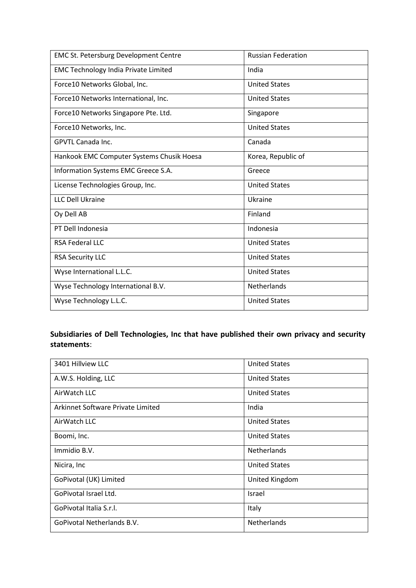| <b>EMC St. Petersburg Development Centre</b> | <b>Russian Federation</b> |
|----------------------------------------------|---------------------------|
| <b>EMC Technology India Private Limited</b>  | India                     |
| Force10 Networks Global, Inc.                | <b>United States</b>      |
| Force10 Networks International, Inc.         | <b>United States</b>      |
| Force10 Networks Singapore Pte. Ltd.         | Singapore                 |
| Force10 Networks, Inc.                       | <b>United States</b>      |
| <b>GPVTL Canada Inc.</b>                     | Canada                    |
| Hankook EMC Computer Systems Chusik Hoesa    | Korea, Republic of        |
| Information Systems EMC Greece S.A.          | Greece                    |
| License Technologies Group, Inc.             | <b>United States</b>      |
| <b>LLC Dell Ukraine</b>                      | Ukraine                   |
| Oy Dell AB                                   | Finland                   |
| PT Dell Indonesia                            | Indonesia                 |
| <b>RSA Federal LLC</b>                       | <b>United States</b>      |
| <b>RSA Security LLC</b>                      | <b>United States</b>      |
| Wyse International L.L.C.                    | <b>United States</b>      |
| Wyse Technology International B.V.           | <b>Netherlands</b>        |
| Wyse Technology L.L.C.                       | <b>United States</b>      |

## **Subsidiaries of Dell Technologies, Inc that have published their own privacy and security statements**:

| 3401 Hillview LLC                 | <b>United States</b> |
|-----------------------------------|----------------------|
| A.W.S. Holding, LLC               | <b>United States</b> |
| AirWatch LLC                      | <b>United States</b> |
| Arkinnet Software Private Limited | India                |
| AirWatch LLC                      | <b>United States</b> |
| Boomi, Inc.                       | <b>United States</b> |
| Immidio B.V.                      | <b>Netherlands</b>   |
| Nicira, Inc                       | <b>United States</b> |
| GoPivotal (UK) Limited            | United Kingdom       |
| GoPivotal Israel Ltd.             | Israel               |
| GoPivotal Italia S.r.l.           | Italy                |
| GoPivotal Netherlands B.V.        | Netherlands          |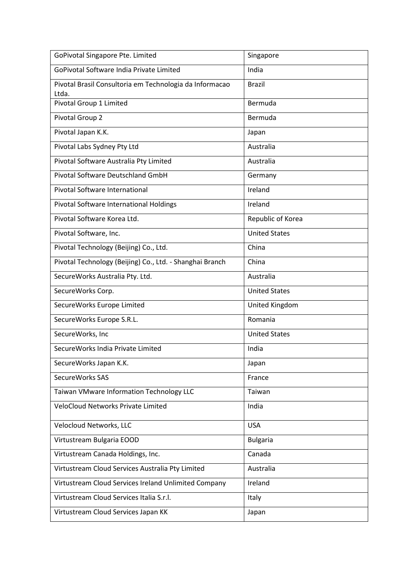| GoPivotal Singapore Pte. Limited                                 | Singapore            |
|------------------------------------------------------------------|----------------------|
| GoPivotal Software India Private Limited                         | India                |
| Pivotal Brasil Consultoria em Technologia da Informacao<br>Ltda. | <b>Brazil</b>        |
| Pivotal Group 1 Limited                                          | Bermuda              |
| Pivotal Group 2                                                  | Bermuda              |
| Pivotal Japan K.K.                                               | Japan                |
| Pivotal Labs Sydney Pty Ltd                                      | Australia            |
| Pivotal Software Australia Pty Limited                           | Australia            |
| Pivotal Software Deutschland GmbH                                | Germany              |
| Pivotal Software International                                   | Ireland              |
| Pivotal Software International Holdings                          | Ireland              |
| Pivotal Software Korea Ltd.                                      | Republic of Korea    |
| Pivotal Software, Inc.                                           | <b>United States</b> |
| Pivotal Technology (Beijing) Co., Ltd.                           | China                |
| Pivotal Technology (Beijing) Co., Ltd. - Shanghai Branch         | China                |
| SecureWorks Australia Pty. Ltd.                                  | Australia            |
| SecureWorks Corp.                                                | <b>United States</b> |
| SecureWorks Europe Limited                                       | United Kingdom       |
| SecureWorks Europe S.R.L.                                        | Romania              |
| SecureWorks, Inc                                                 | <b>United States</b> |
| SecureWorks India Private Limited                                | India                |
| SecureWorks Japan K.K.                                           | Japan                |
| SecureWorks SAS                                                  | France               |
| Taiwan VMware Information Technology LLC                         | Taiwan               |
| <b>VeloCloud Networks Private Limited</b>                        | India                |
| Velocloud Networks, LLC                                          | <b>USA</b>           |
| Virtustream Bulgaria EOOD                                        | <b>Bulgaria</b>      |
| Virtustream Canada Holdings, Inc.                                | Canada               |
| Virtustream Cloud Services Australia Pty Limited                 | Australia            |
| Virtustream Cloud Services Ireland Unlimited Company             | Ireland              |
| Virtustream Cloud Services Italia S.r.l.                         | Italy                |
| Virtustream Cloud Services Japan KK                              | Japan                |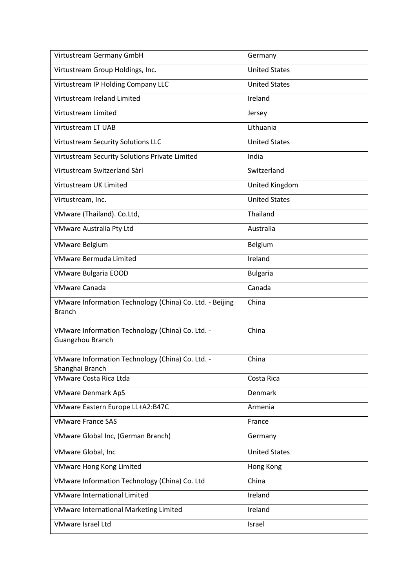| Virtustream Germany GmbH                                                  | Germany              |
|---------------------------------------------------------------------------|----------------------|
| Virtustream Group Holdings, Inc.                                          | <b>United States</b> |
| Virtustream IP Holding Company LLC                                        | <b>United States</b> |
| Virtustream Ireland Limited                                               | Ireland              |
| Virtustream Limited                                                       | Jersey               |
| Virtustream LT UAB                                                        | Lithuania            |
| <b>Virtustream Security Solutions LLC</b>                                 | <b>United States</b> |
| Virtustream Security Solutions Private Limited                            | India                |
| Virtustream Switzerland Sàrl                                              | Switzerland          |
| Virtustream UK Limited                                                    | United Kingdom       |
| Virtustream, Inc.                                                         | <b>United States</b> |
| VMware (Thailand). Co.Ltd,                                                | Thailand             |
| VMware Australia Pty Ltd                                                  | Australia            |
| <b>VMware Belgium</b>                                                     | Belgium              |
| <b>VMware Bermuda Limited</b>                                             | Ireland              |
| <b>VMware Bulgaria EOOD</b>                                               | <b>Bulgaria</b>      |
| <b>VMware Canada</b>                                                      | Canada               |
| VMware Information Technology (China) Co. Ltd. - Beijing<br><b>Branch</b> | China                |
| VMware Information Technology (China) Co. Ltd. -<br>Guangzhou Branch      | China                |
| VMware Information Technology (China) Co. Ltd. -<br>Shanghai Branch       | China                |
| <b>VMware Costa Rica Ltda</b>                                             | Costa Rica           |
| <b>VMware Denmark ApS</b>                                                 | Denmark              |
| VMware Eastern Europe LL+A2:B47C                                          | Armenia              |
| <b>VMware France SAS</b>                                                  | France               |
| VMware Global Inc, (German Branch)                                        | Germany              |
| VMware Global, Inc                                                        | <b>United States</b> |
| <b>VMware Hong Kong Limited</b>                                           | Hong Kong            |
| VMware Information Technology (China) Co. Ltd                             | China                |
| <b>VMware International Limited</b>                                       | Ireland              |
| VMware International Marketing Limited                                    | Ireland              |
| <b>VMware Israel Ltd</b>                                                  | Israel               |